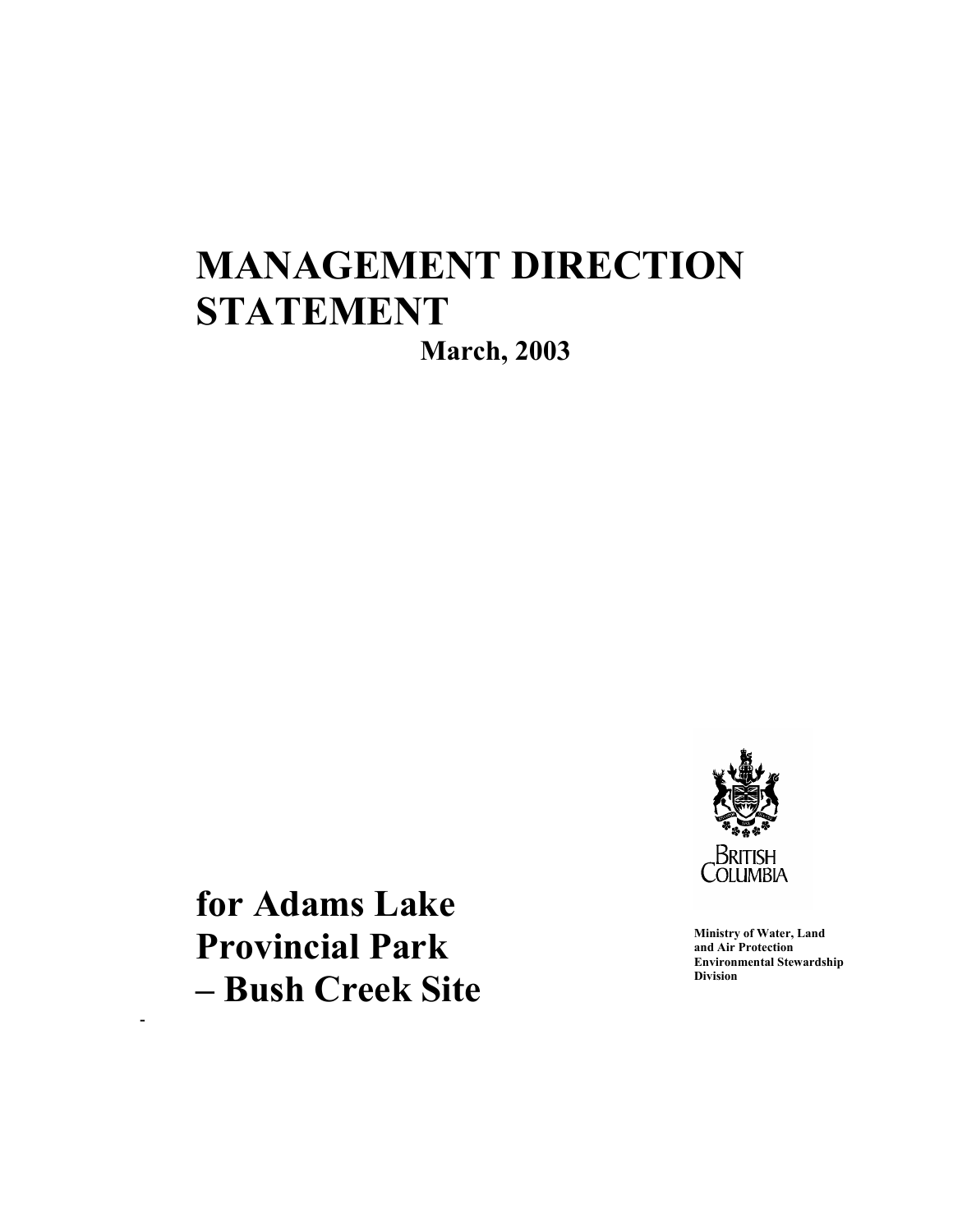## **MANAGEMENT DIRECTION STATEMENT March, 2003**



**Ministry of Water, Land and Air Protection Environmental Stewardship Division**

**for Adams Lake Provincial Park – Bush Creek Site**

**-**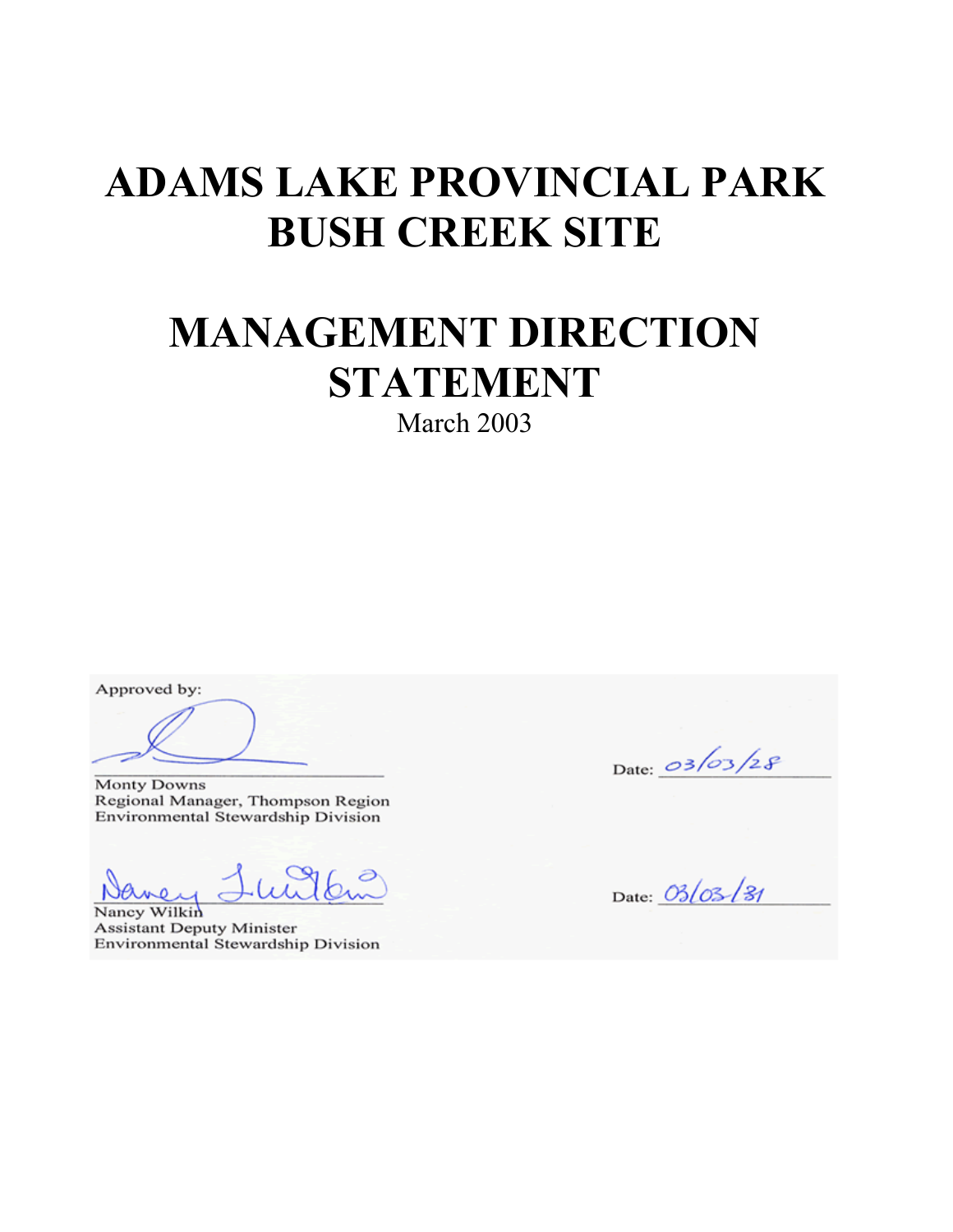## **ADAMS LAKE PROVINCIAL PARK BUSH CREEK SITE**

# **MANAGEMENT DIRECTION STATEMENT**

March 2003

Approved by:

**Monty Downs** Regional Manager, Thompson Region Environmental Stewardship Division

Nancy Wilkin **Assistant Deputy Minister** Environmental Stewardship Division

Date: 03/03/28

Date: 03/03/31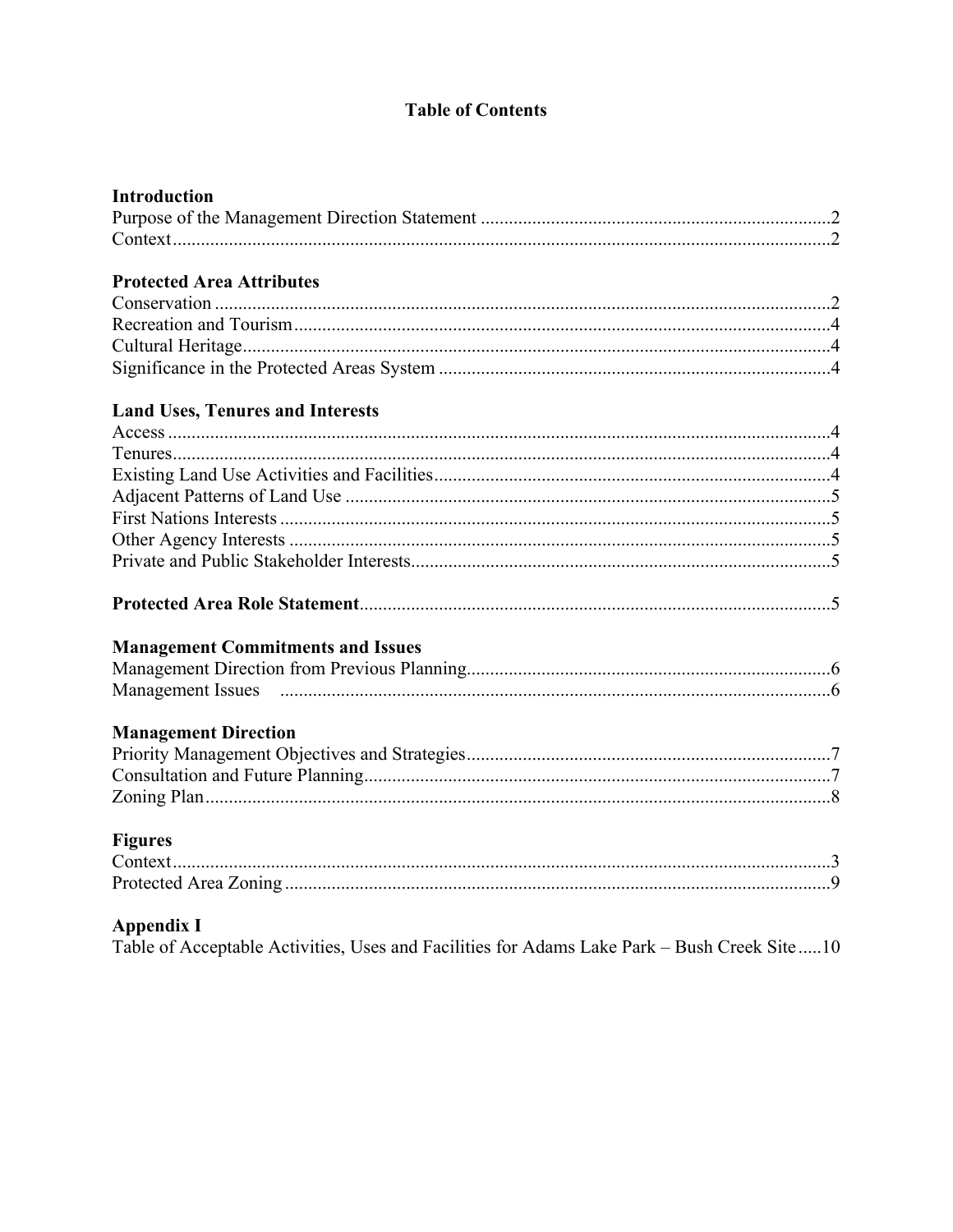## **Table of Contents**

| <b>Introduction</b>                                                                         |
|---------------------------------------------------------------------------------------------|
|                                                                                             |
|                                                                                             |
| <b>Protected Area Attributes</b>                                                            |
|                                                                                             |
|                                                                                             |
|                                                                                             |
|                                                                                             |
| <b>Land Uses, Tenures and Interests</b>                                                     |
|                                                                                             |
|                                                                                             |
|                                                                                             |
|                                                                                             |
|                                                                                             |
|                                                                                             |
|                                                                                             |
|                                                                                             |
| <b>Management Commitments and Issues</b>                                                    |
|                                                                                             |
|                                                                                             |
| <b>Management Direction</b>                                                                 |
|                                                                                             |
|                                                                                             |
|                                                                                             |
| <b>Figures</b>                                                                              |
|                                                                                             |
|                                                                                             |
| <b>Appendix I</b>                                                                           |
| Table of Acceptable Activities, Uses and Facilities for Adams Lake Park - Bush Creek Site10 |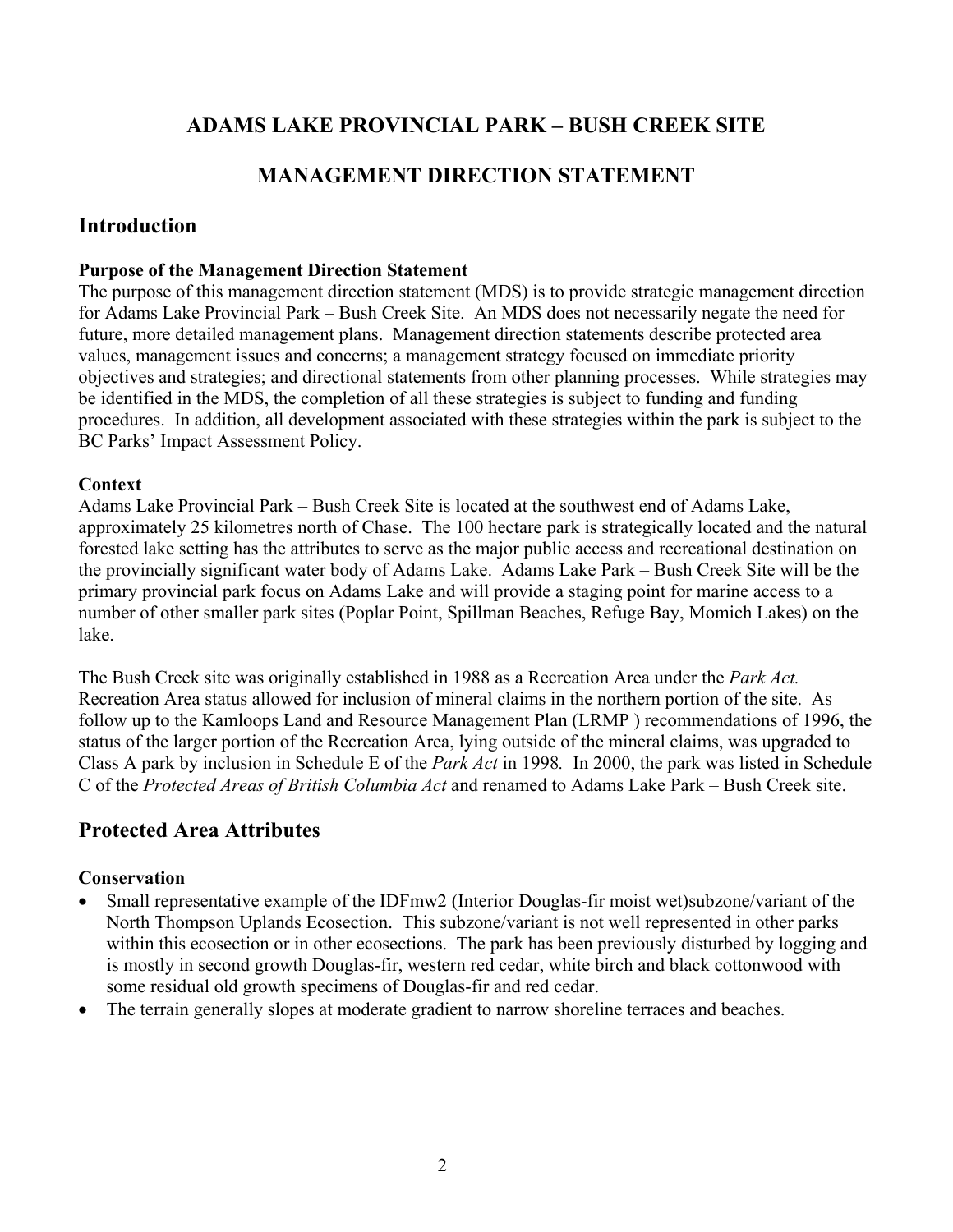## **ADAMS LAKE PROVINCIAL PARK – BUSH CREEK SITE**

## **MANAGEMENT DIRECTION STATEMENT**

## **Introduction**

#### **Purpose of the Management Direction Statement**

The purpose of this management direction statement (MDS) is to provide strategic management direction for Adams Lake Provincial Park – Bush Creek Site. An MDS does not necessarily negate the need for future, more detailed management plans. Management direction statements describe protected area values, management issues and concerns; a management strategy focused on immediate priority objectives and strategies; and directional statements from other planning processes. While strategies may be identified in the MDS, the completion of all these strategies is subject to funding and funding procedures. In addition, all development associated with these strategies within the park is subject to the BC Parks' Impact Assessment Policy.

#### **Context**

Adams Lake Provincial Park – Bush Creek Site is located at the southwest end of Adams Lake, approximately 25 kilometres north of Chase. The 100 hectare park is strategically located and the natural forested lake setting has the attributes to serve as the major public access and recreational destination on the provincially significant water body of Adams Lake. Adams Lake Park – Bush Creek Site will be the primary provincial park focus on Adams Lake and will provide a staging point for marine access to a number of other smaller park sites (Poplar Point, Spillman Beaches, Refuge Bay, Momich Lakes) on the lake.

The Bush Creek site was originally established in 1988 as a Recreation Area under the *Park Act.*  Recreation Area status allowed for inclusion of mineral claims in the northern portion of the site. As follow up to the Kamloops Land and Resource Management Plan (LRMP ) recommendations of 1996, the status of the larger portion of the Recreation Area, lying outside of the mineral claims, was upgraded to Class A park by inclusion in Schedule E of the *Park Act* in 1998*.* In 2000, the park was listed in Schedule C of the *Protected Areas of British Columbia Act* and renamed to Adams Lake Park – Bush Creek site.

#### **Protected Area Attributes**

#### **Conservation**

- Small representative example of the IDFmw2 (Interior Douglas-fir moist wet)subzone/variant of the North Thompson Uplands Ecosection. This subzone/variant is not well represented in other parks within this ecosection or in other ecosections. The park has been previously disturbed by logging and is mostly in second growth Douglas-fir, western red cedar, white birch and black cottonwood with some residual old growth specimens of Douglas-fir and red cedar.
- The terrain generally slopes at moderate gradient to narrow shoreline terraces and beaches.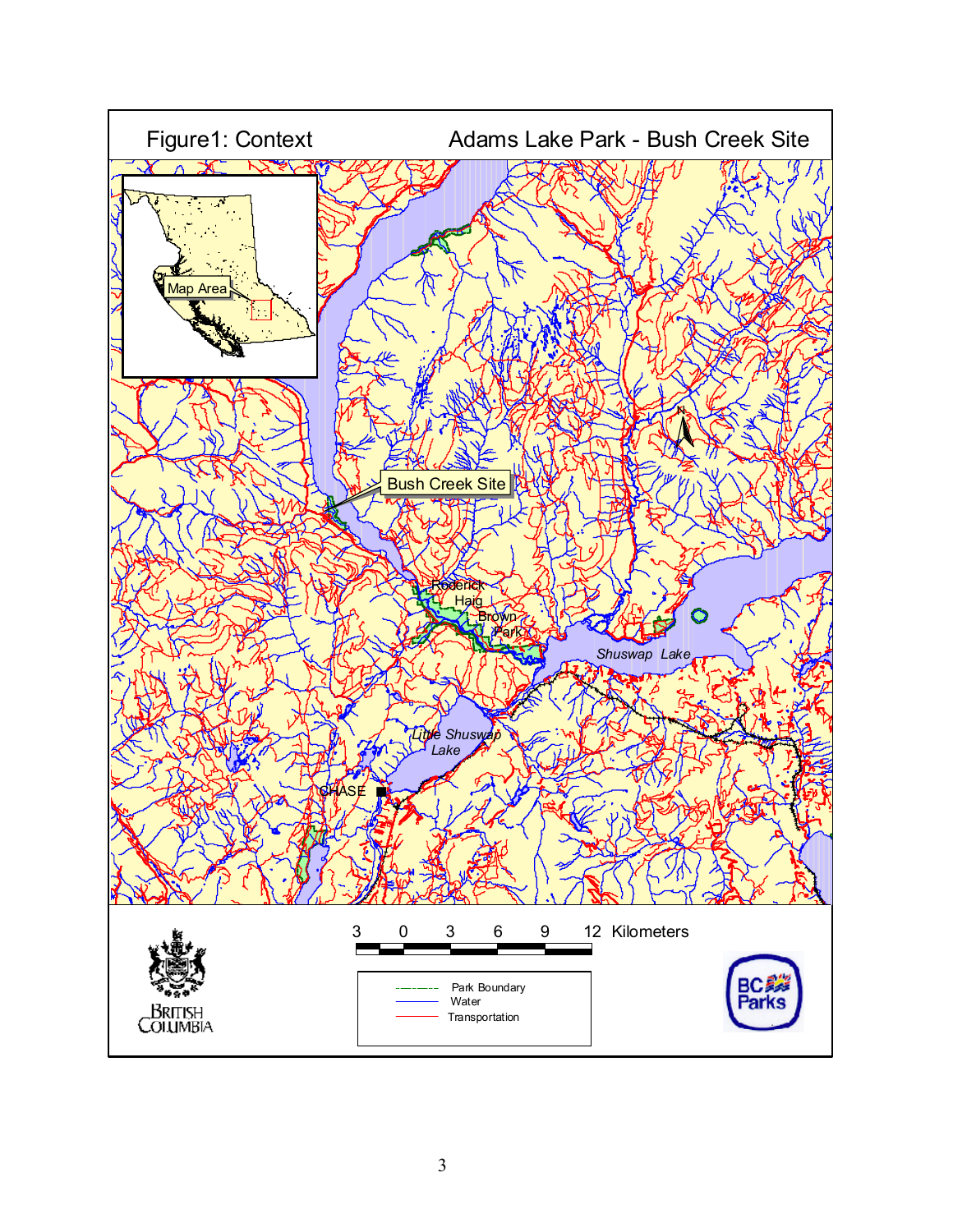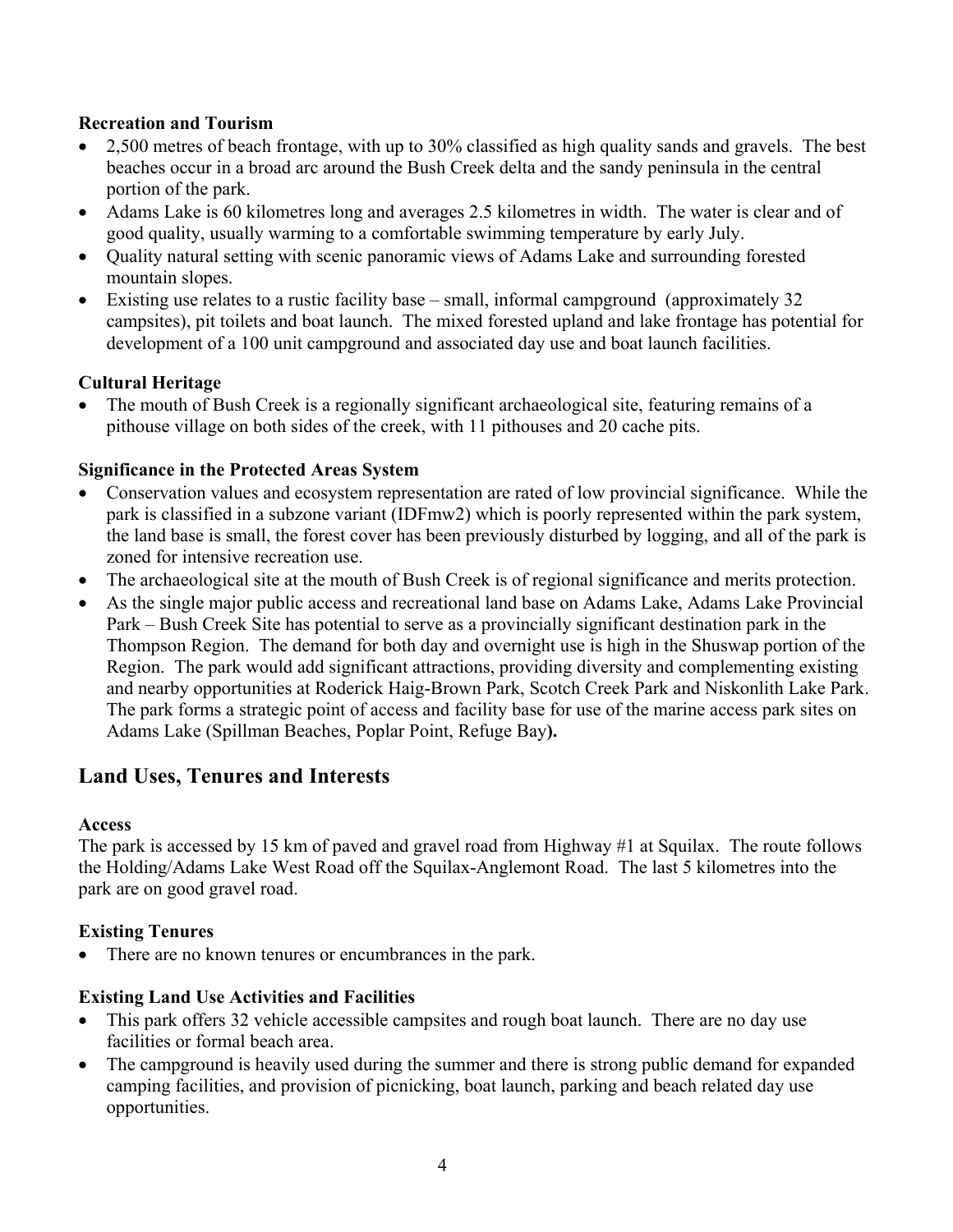#### **Recreation and Tourism**

- 2,500 metres of beach frontage, with up to 30% classified as high quality sands and gravels. The best beaches occur in a broad arc around the Bush Creek delta and the sandy peninsula in the central portion of the park.
- Adams Lake is 60 kilometres long and averages 2.5 kilometres in width. The water is clear and of good quality, usually warming to a comfortable swimming temperature by early July.
- Quality natural setting with scenic panoramic views of Adams Lake and surrounding forested mountain slopes.
- Existing use relates to a rustic facility base small, informal campground (approximately 32) campsites), pit toilets and boat launch. The mixed forested upland and lake frontage has potential for development of a 100 unit campground and associated day use and boat launch facilities.

#### **Cultural Heritage**

• The mouth of Bush Creek is a regionally significant archaeological site, featuring remains of a pithouse village on both sides of the creek, with 11 pithouses and 20 cache pits.

#### **Significance in the Protected Areas System**

- Conservation values and ecosystem representation are rated of low provincial significance. While the park is classified in a subzone variant (IDFmw2) which is poorly represented within the park system, the land base is small, the forest cover has been previously disturbed by logging, and all of the park is zoned for intensive recreation use.
- The archaeological site at the mouth of Bush Creek is of regional significance and merits protection.
- As the single major public access and recreational land base on Adams Lake, Adams Lake Provincial Park – Bush Creek Site has potential to serve as a provincially significant destination park in the Thompson Region. The demand for both day and overnight use is high in the Shuswap portion of the Region. The park would add significant attractions, providing diversity and complementing existing and nearby opportunities at Roderick Haig-Brown Park, Scotch Creek Park and Niskonlith Lake Park. The park forms a strategic point of access and facility base for use of the marine access park sites on Adams Lake (Spillman Beaches, Poplar Point, Refuge Bay**).**

## **Land Uses, Tenures and Interests**

#### **Access**

The park is accessed by 15 km of paved and gravel road from Highway #1 at Squilax. The route follows the Holding/Adams Lake West Road off the Squilax-Anglemont Road. The last 5 kilometres into the park are on good gravel road.

#### **Existing Tenures**

• There are no known tenures or encumbrances in the park.

#### **Existing Land Use Activities and Facilities**

- This park offers 32 vehicle accessible campsites and rough boat launch. There are no day use facilities or formal beach area.
- The campground is heavily used during the summer and there is strong public demand for expanded camping facilities, and provision of picnicking, boat launch, parking and beach related day use opportunities.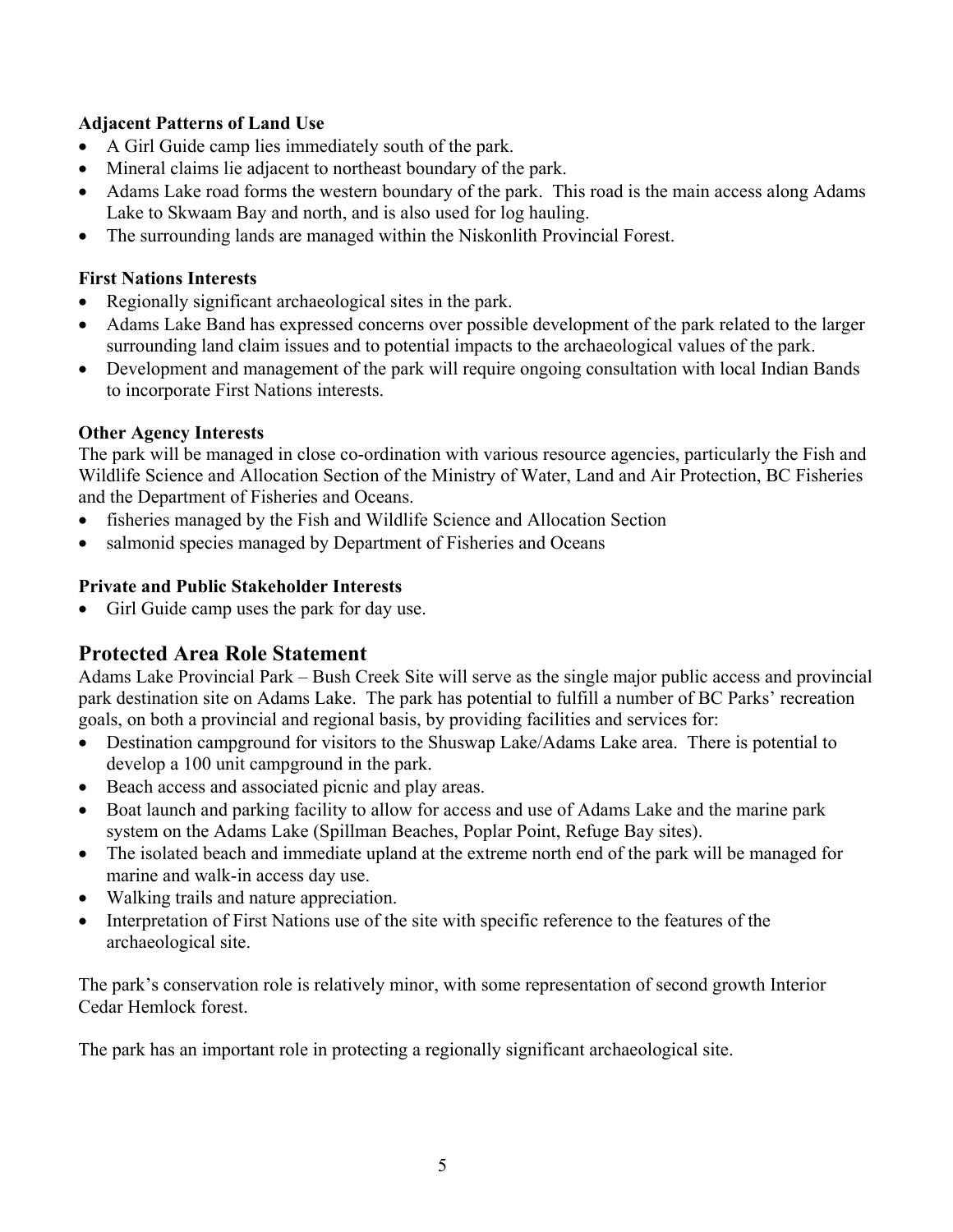#### **Adjacent Patterns of Land Use**

- A Girl Guide camp lies immediately south of the park.
- Mineral claims lie adjacent to northeast boundary of the park.
- Adams Lake road forms the western boundary of the park. This road is the main access along Adams Lake to Skwaam Bay and north, and is also used for log hauling.
- The surrounding lands are managed within the Niskonlith Provincial Forest.

#### **First Nations Interests**

- Regionally significant archaeological sites in the park.
- Adams Lake Band has expressed concerns over possible development of the park related to the larger surrounding land claim issues and to potential impacts to the archaeological values of the park.
- Development and management of the park will require ongoing consultation with local Indian Bands to incorporate First Nations interests.

#### **Other Agency Interests**

The park will be managed in close co-ordination with various resource agencies, particularly the Fish and Wildlife Science and Allocation Section of the Ministry of Water, Land and Air Protection, BC Fisheries and the Department of Fisheries and Oceans.

- fisheries managed by the Fish and Wildlife Science and Allocation Section
- salmonid species managed by Department of Fisheries and Oceans

#### **Private and Public Stakeholder Interests**

• Girl Guide camp uses the park for day use.

## **Protected Area Role Statement**

Adams Lake Provincial Park – Bush Creek Site will serve as the single major public access and provincial park destination site on Adams Lake. The park has potential to fulfill a number of BC Parks' recreation goals, on both a provincial and regional basis, by providing facilities and services for:

- Destination campground for visitors to the Shuswap Lake/Adams Lake area. There is potential to develop a 100 unit campground in the park.
- Beach access and associated picnic and play areas.
- Boat launch and parking facility to allow for access and use of Adams Lake and the marine park system on the Adams Lake (Spillman Beaches, Poplar Point, Refuge Bay sites).
- The isolated beach and immediate upland at the extreme north end of the park will be managed for marine and walk-in access day use.
- Walking trails and nature appreciation.
- Interpretation of First Nations use of the site with specific reference to the features of the archaeological site.

The park's conservation role is relatively minor, with some representation of second growth Interior Cedar Hemlock forest.

The park has an important role in protecting a regionally significant archaeological site.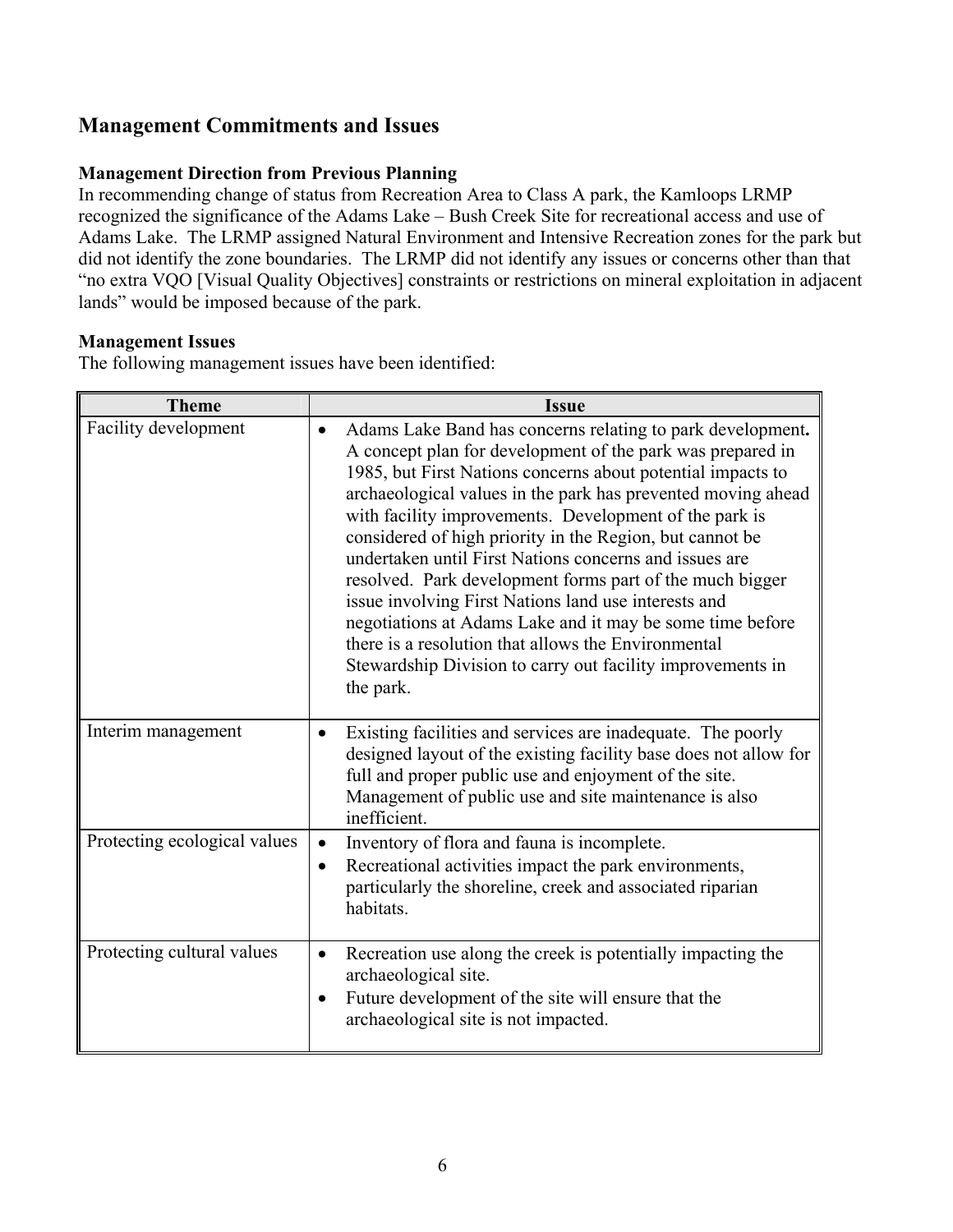## **Management Commitments and Issues**

#### **Management Direction from Previous Planning**

In recommending change of status from Recreation Area to Class A park, the Kamloops LRMP recognized the significance of the Adams Lake – Bush Creek Site for recreational access and use of Adams Lake. The LRMP assigned Natural Environment and Intensive Recreation zones for the park but did not identify the zone boundaries. The LRMP did not identify any issues or concerns other than that "no extra VQO [Visual Quality Objectives] constraints or restrictions on mineral exploitation in adjacent lands" would be imposed because of the park.

#### **Management Issues**

The following management issues have been identified:

| <b>Theme</b>                 | <b>Issue</b>                                                                                                                                                                                                                                                                                                                                                                                                                                                                                                                                                                                                                                                                                                                                                            |  |  |
|------------------------------|-------------------------------------------------------------------------------------------------------------------------------------------------------------------------------------------------------------------------------------------------------------------------------------------------------------------------------------------------------------------------------------------------------------------------------------------------------------------------------------------------------------------------------------------------------------------------------------------------------------------------------------------------------------------------------------------------------------------------------------------------------------------------|--|--|
| Facility development         | Adams Lake Band has concerns relating to park development.<br>$\bullet$<br>A concept plan for development of the park was prepared in<br>1985, but First Nations concerns about potential impacts to<br>archaeological values in the park has prevented moving ahead<br>with facility improvements. Development of the park is<br>considered of high priority in the Region, but cannot be<br>undertaken until First Nations concerns and issues are<br>resolved. Park development forms part of the much bigger<br>issue involving First Nations land use interests and<br>negotiations at Adams Lake and it may be some time before<br>there is a resolution that allows the Environmental<br>Stewardship Division to carry out facility improvements in<br>the park. |  |  |
| Interim management           | Existing facilities and services are inadequate. The poorly<br>$\bullet$<br>designed layout of the existing facility base does not allow for<br>full and proper public use and enjoyment of the site.<br>Management of public use and site maintenance is also<br>inefficient.                                                                                                                                                                                                                                                                                                                                                                                                                                                                                          |  |  |
| Protecting ecological values | Inventory of flora and fauna is incomplete.<br>Recreational activities impact the park environments,<br>particularly the shoreline, creek and associated riparian<br>habitats.                                                                                                                                                                                                                                                                                                                                                                                                                                                                                                                                                                                          |  |  |
| Protecting cultural values   | Recreation use along the creek is potentially impacting the<br>$\bullet$<br>archaeological site.<br>Future development of the site will ensure that the<br>$\bullet$<br>archaeological site is not impacted.                                                                                                                                                                                                                                                                                                                                                                                                                                                                                                                                                            |  |  |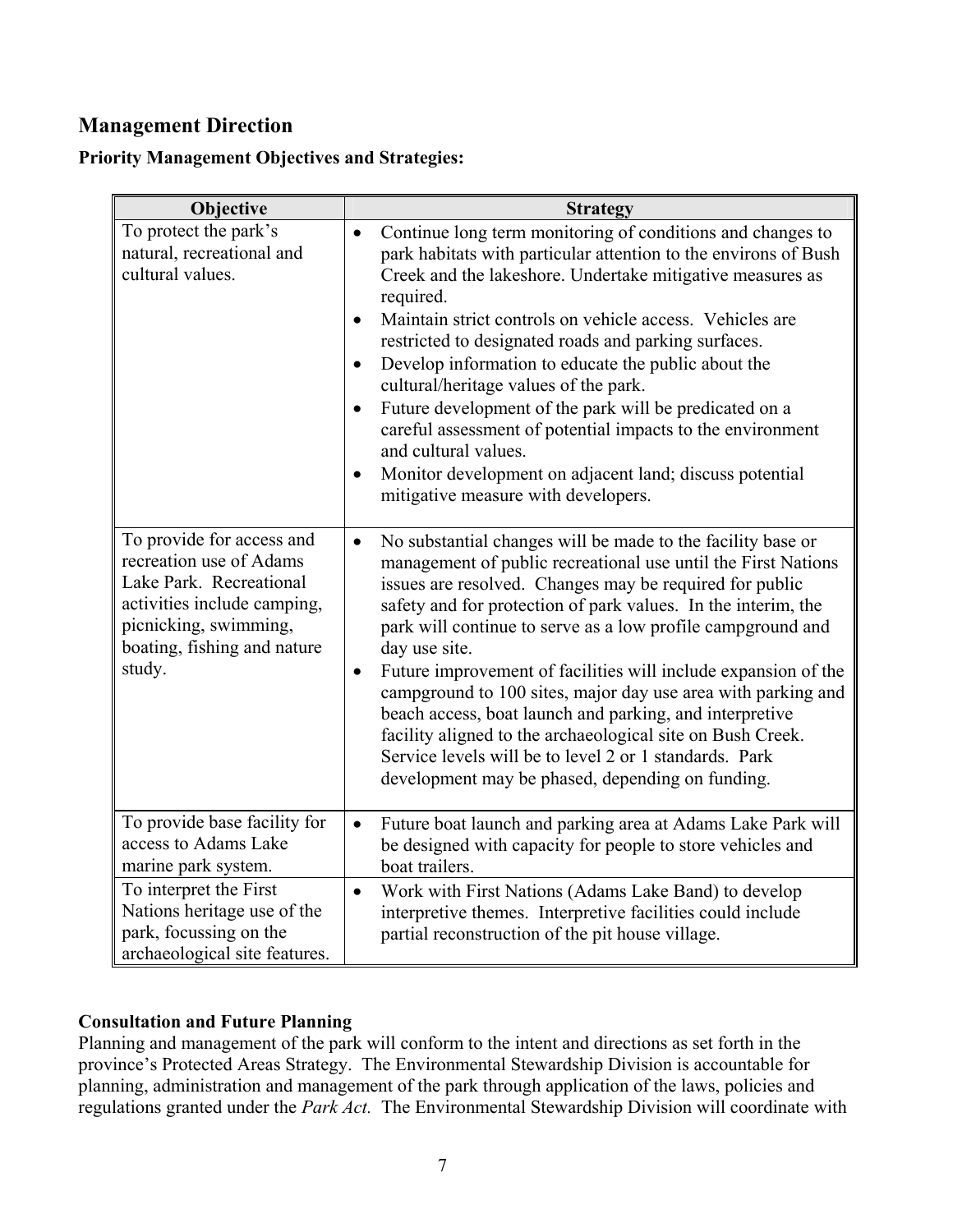## **Management Direction**

#### **Priority Management Objectives and Strategies:**

| Objective                                                                                                                                                                        | <b>Strategy</b>                                                                                                                                                                                                                                                                                                                                                                                                                                                                                                                                                                                                                                                                                                                             |  |
|----------------------------------------------------------------------------------------------------------------------------------------------------------------------------------|---------------------------------------------------------------------------------------------------------------------------------------------------------------------------------------------------------------------------------------------------------------------------------------------------------------------------------------------------------------------------------------------------------------------------------------------------------------------------------------------------------------------------------------------------------------------------------------------------------------------------------------------------------------------------------------------------------------------------------------------|--|
| To protect the park's<br>natural, recreational and<br>cultural values.                                                                                                           | Continue long term monitoring of conditions and changes to<br>$\bullet$<br>park habitats with particular attention to the environs of Bush<br>Creek and the lakeshore. Undertake mitigative measures as<br>required.<br>Maintain strict controls on vehicle access. Vehicles are<br>$\bullet$<br>restricted to designated roads and parking surfaces.<br>Develop information to educate the public about the<br>$\bullet$<br>cultural/heritage values of the park.<br>Future development of the park will be predicated on a<br>$\bullet$<br>careful assessment of potential impacts to the environment<br>and cultural values.<br>Monitor development on adjacent land; discuss potential<br>mitigative measure with developers.           |  |
| To provide for access and<br>recreation use of Adams<br>Lake Park. Recreational<br>activities include camping,<br>picnicking, swimming,<br>boating, fishing and nature<br>study. | No substantial changes will be made to the facility base or<br>$\bullet$<br>management of public recreational use until the First Nations<br>issues are resolved. Changes may be required for public<br>safety and for protection of park values. In the interim, the<br>park will continue to serve as a low profile campground and<br>day use site.<br>Future improvement of facilities will include expansion of the<br>$\bullet$<br>campground to 100 sites, major day use area with parking and<br>beach access, boat launch and parking, and interpretive<br>facility aligned to the archaeological site on Bush Creek.<br>Service levels will be to level 2 or 1 standards. Park<br>development may be phased, depending on funding. |  |
| To provide base facility for<br>access to Adams Lake<br>marine park system.                                                                                                      | Future boat launch and parking area at Adams Lake Park will<br>$\bullet$<br>be designed with capacity for people to store vehicles and<br>boat trailers.                                                                                                                                                                                                                                                                                                                                                                                                                                                                                                                                                                                    |  |
| To interpret the First<br>Nations heritage use of the<br>park, focussing on the<br>archaeological site features.                                                                 | Work with First Nations (Adams Lake Band) to develop<br>$\bullet$<br>interpretive themes. Interpretive facilities could include<br>partial reconstruction of the pit house village.                                                                                                                                                                                                                                                                                                                                                                                                                                                                                                                                                         |  |

#### **Consultation and Future Planning**

Planning and management of the park will conform to the intent and directions as set forth in the province's Protected Areas Strategy. The Environmental Stewardship Division is accountable for planning, administration and management of the park through application of the laws, policies and regulations granted under the *Park Act.* The Environmental Stewardship Division will coordinate with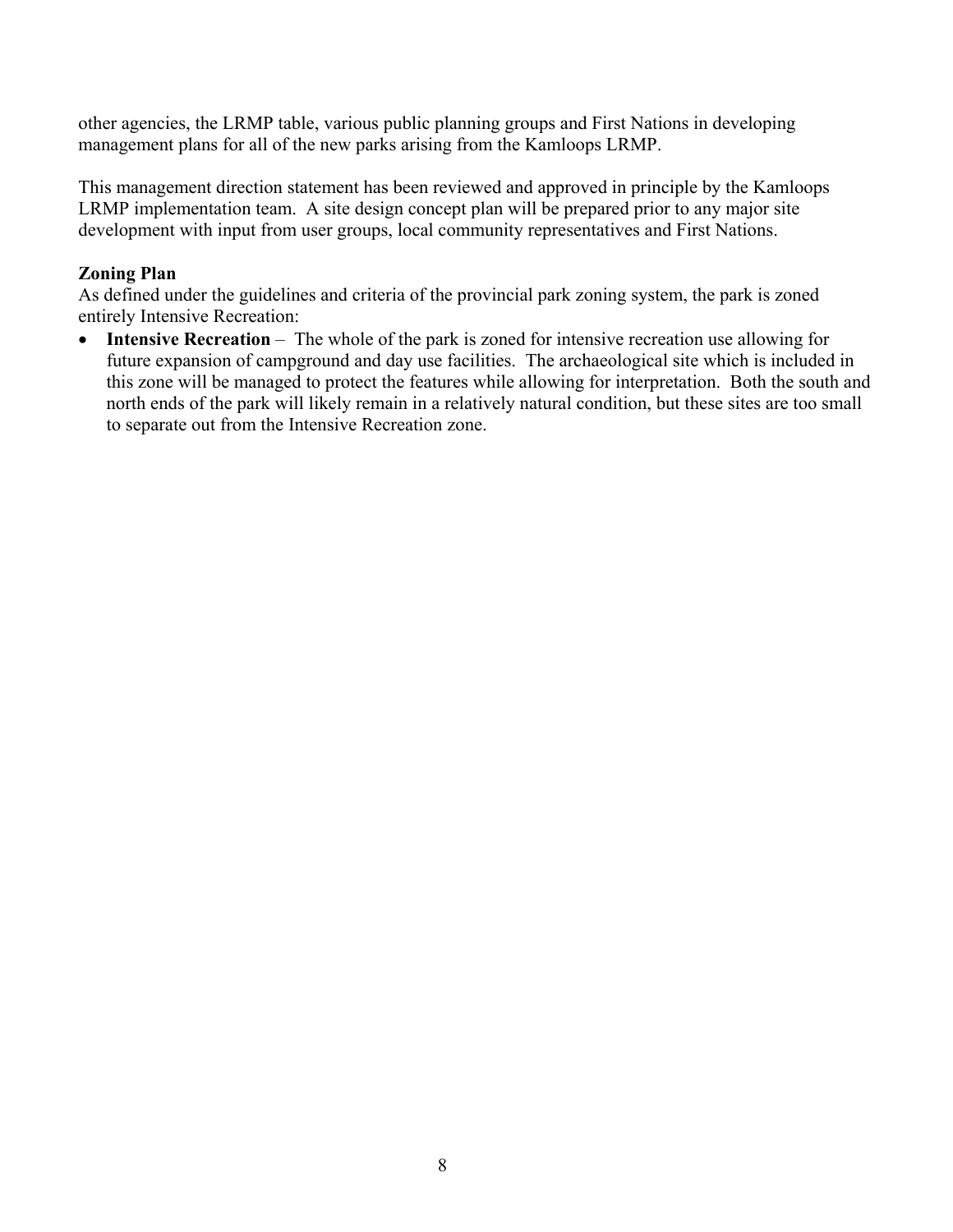other agencies, the LRMP table, various public planning groups and First Nations in developing management plans for all of the new parks arising from the Kamloops LRMP.

This management direction statement has been reviewed and approved in principle by the Kamloops LRMP implementation team. A site design concept plan will be prepared prior to any major site development with input from user groups, local community representatives and First Nations.

#### **Zoning Plan**

As defined under the guidelines and criteria of the provincial park zoning system, the park is zoned entirely Intensive Recreation:

• **Intensive Recreation** – The whole of the park is zoned for intensive recreation use allowing for future expansion of campground and day use facilities. The archaeological site which is included in this zone will be managed to protect the features while allowing for interpretation. Both the south and north ends of the park will likely remain in a relatively natural condition, but these sites are too small to separate out from the Intensive Recreation zone.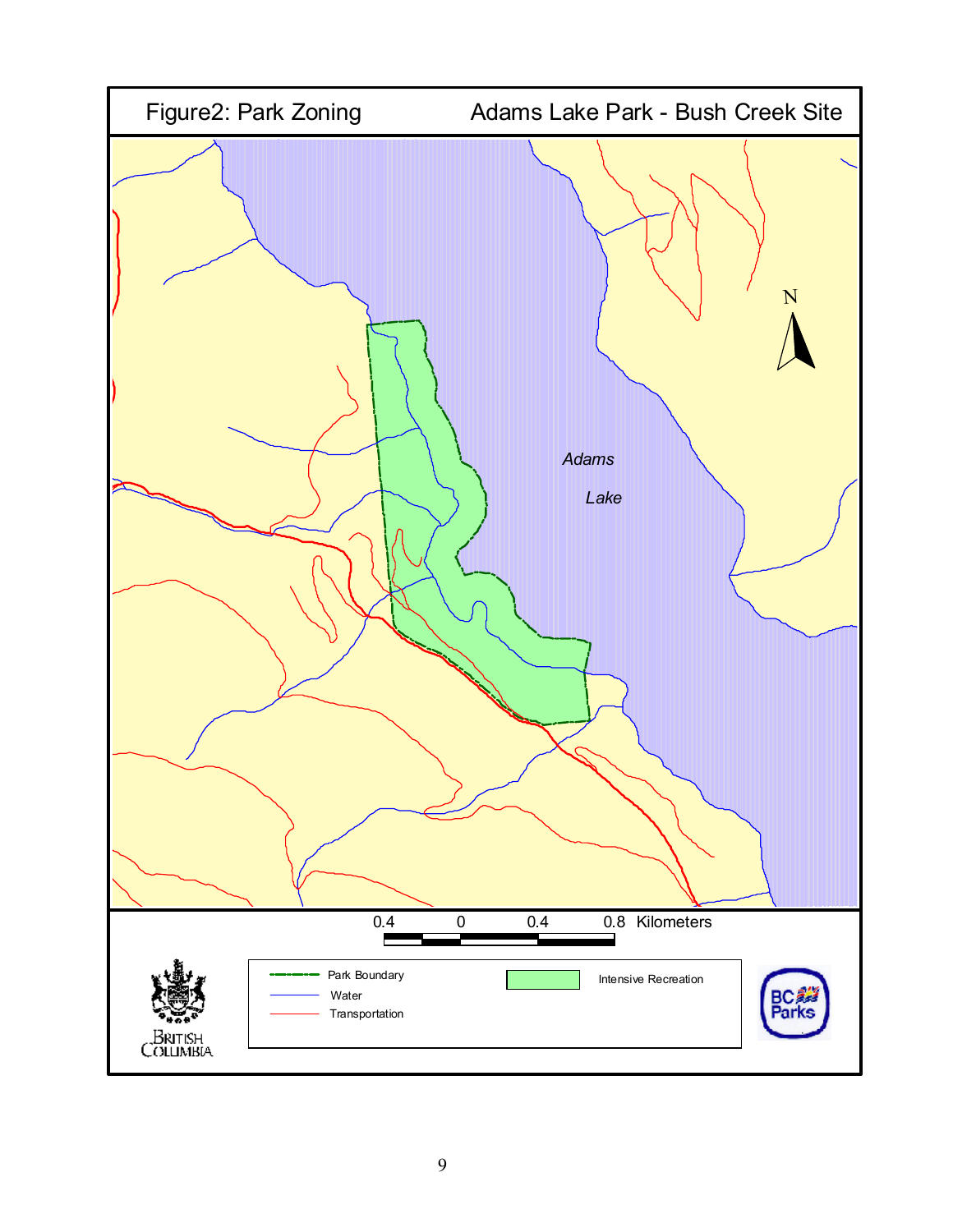